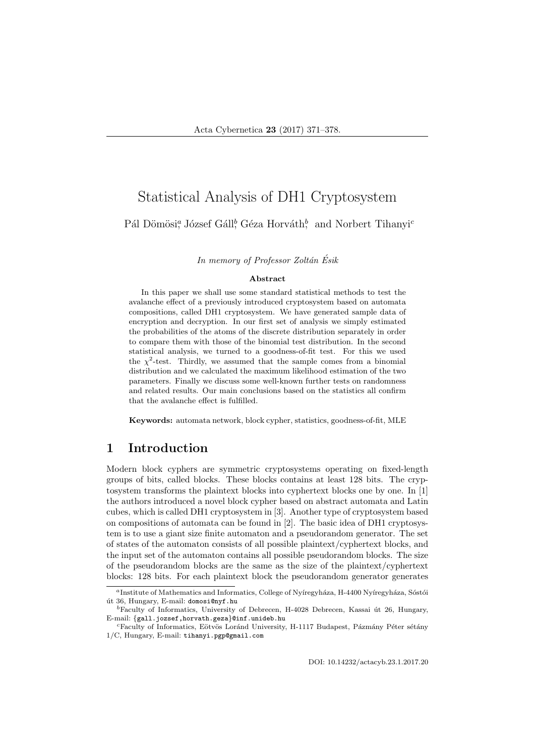# Statistical Analysis of DH1 Cryptosystem

### Pál Dömösi<sup>a</sup>, József Gáll<sup>b</sup>, Géza Horváth<sup>b</sup>, and Norbert Tihanyi<sup>c</sup>

In memory of Professor Zoltán Ésik

#### Abstract

In this paper we shall use some standard statistical methods to test the avalanche effect of a previously introduced cryptosystem based on automata compositions, called DH1 cryptosystem. We have generated sample data of encryption and decryption. In our first set of analysis we simply estimated the probabilities of the atoms of the discrete distribution separately in order to compare them with those of the binomial test distribution. In the second statistical analysis, we turned to a goodness-of-fit test. For this we used the  $\chi^2$ -test. Thirdly, we assumed that the sample comes from a binomial distribution and we calculated the maximum likelihood estimation of the two parameters. Finally we discuss some well-known further tests on randomness and related results. Our main conclusions based on the statistics all confirm that the avalanche effect is fulfilled.

Keywords: automata network, block cypher, statistics, goodness-of-fit, MLE

# 1 Introduction

Modern block cyphers are symmetric cryptosystems operating on fixed-length groups of bits, called blocks. These blocks contains at least 128 bits. The cryptosystem transforms the plaintext blocks into cyphertext blocks one by one. In [1] the authors introduced a novel block cypher based on abstract automata and Latin cubes, which is called DH1 cryptosystem in [3]. Another type of cryptosystem based on compositions of automata can be found in [2]. The basic idea of DH1 cryptosystem is to use a giant size finite automaton and a pseudorandom generator. The set of states of the automaton consists of all possible plaintext/cyphertext blocks, and the input set of the automaton contains all possible pseudorandom blocks. The size of the pseudorandom blocks are the same as the size of the plaintext/cyphertext blocks: 128 bits. For each plaintext block the pseudorandom generator generates

<sup>&</sup>lt;sup>a</sup>Institute of Mathematics and Informatics, College of Nyíregyháza, H-4400 Nyíregyháza, Sóstói út 36, Hungary, E-mail: domosi@nyf.hu

 ${}^{b}$ Faculty of Informatics, University of Debrecen, H-4028 Debrecen, Kassai út 26, Hungary, E-mail: {gall.jozsef,horvath.geza}@inf.unideb.hu

<sup>&</sup>lt;sup>c</sup>Faculty of Informatics, Eötvös Loránd University, H-1117 Budapest, Pázmány Péter sétány 1/C, Hungary, E-mail: tihanyi.pgp@gmail.com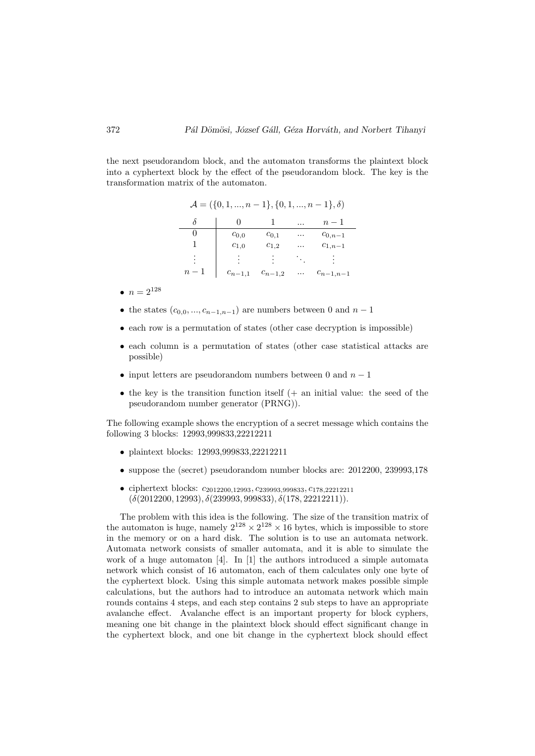the next pseudorandom block, and the automaton transforms the plaintext block into a cyphertext block by the effect of the pseudorandom block. The key is the transformation matrix of the automaton.

| $\mathcal{A} = (\{0, 1, , n-1\}, \{0, 1, , n-1\}, \delta)$ |             |             |       |               |
|------------------------------------------------------------|-------------|-------------|-------|---------------|
|                                                            |             |             |       | $n-1$         |
| $^{(1)}$                                                   | $c_{0,0}$   | $c_{0.1}$   | .     | $c_{0,n-1}$   |
|                                                            | $c_{1,0}$   | $c_{1,2}$   | .     | $c_{1,n-1}$   |
|                                                            | ٠           |             | Tarix |               |
| $n-1$                                                      | $c_{n-1,1}$ | $c_{n-1,2}$ | .     | $c_{n-1,n-1}$ |

- $n = 2^{128}$
- the states  $(c_{0,0},...,c_{n-1,n-1})$  are numbers between 0 and  $n-1$
- each row is a permutation of states (other case decryption is impossible)
- each column is a permutation of states (other case statistical attacks are possible)
- input letters are pseudorandom numbers between 0 and  $n-1$
- the key is the transition function itself  $(+)$  an initial value: the seed of the pseudorandom number generator (PRNG)).

The following example shows the encryption of a secret message which contains the following 3 blocks: 12993,999833,22212211

- plaintext blocks: 12993,999833,22212211
- suppose the (secret) pseudorandom number blocks are: 2012200, 239993,178
- ciphertext blocks:  $c_{2012200}$ ,  $12993$ ,  $c_{239993}$ ,  $999833$ ,  $c_{178}$ ,  $22212211$  $(\delta(2012200, 12993), \delta(239993, 999833), \delta(178, 22212211)).$

The problem with this idea is the following. The size of the transition matrix of the automaton is huge, namely  $2^{128} \times 2^{128} \times 16$  bytes, which is impossible to store in the memory or on a hard disk. The solution is to use an automata network. Automata network consists of smaller automata, and it is able to simulate the work of a huge automaton [4]. In [1] the authors introduced a simple automata network which consist of 16 automaton, each of them calculates only one byte of the cyphertext block. Using this simple automata network makes possible simple calculations, but the authors had to introduce an automata network which main rounds contains 4 steps, and each step contains 2 sub steps to have an appropriate avalanche effect. Avalanche effect is an important property for block cyphers, meaning one bit change in the plaintext block should effect significant change in the cyphertext block, and one bit change in the cyphertext block should effect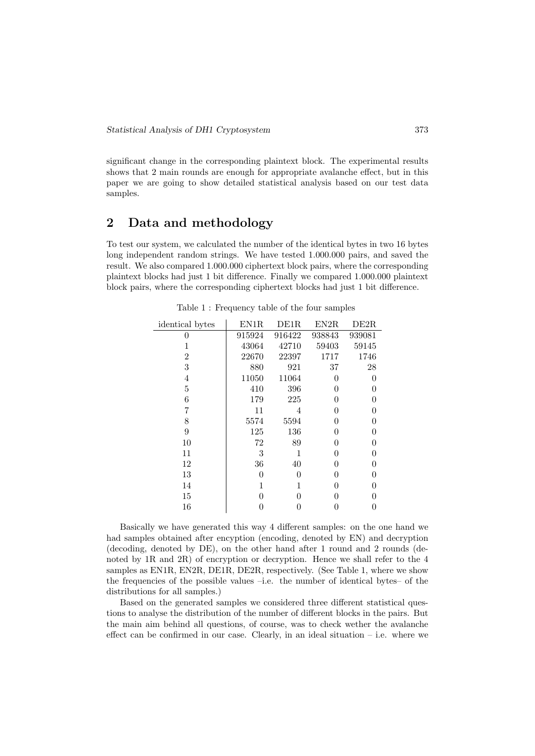significant change in the corresponding plaintext block. The experimental results shows that 2 main rounds are enough for appropriate avalanche effect, but in this paper we are going to show detailed statistical analysis based on our test data samples.

# 2 Data and methodology

To test our system, we calculated the number of the identical bytes in two 16 bytes long independent random strings. We have tested 1.000.000 pairs, and saved the result. We also compared 1.000.000 ciphertext block pairs, where the corresponding plaintext blocks had just 1 bit difference. Finally we compared 1.000.000 plaintext block pairs, where the corresponding ciphertext blocks had just 1 bit difference.

| identical bytes | EN1R   | DE1R   | EN2R   | DE2R             |
|-----------------|--------|--------|--------|------------------|
| $\Omega$        | 915924 | 916422 | 938843 | 939081           |
|                 | 43064  | 42710  | 59403  | 59145            |
| 2               | 22670  | 22397  | 1717   | 1746             |
| 3               | 880    | 921    | 37     | 28               |
| 4               | 11050  | 11064  | 0      | 0                |
| 5               | 410    | 396    | 0      | 0                |
| 6               | 179    | 225    | 0      | 0                |
| 7               | 11     | 4      | O      | 0                |
| 8               | 5574   | 5594   | O      | $\left( \right)$ |
| 9               | 125    | 136    | O      | $\left( \right)$ |
| 10              | 72     | 89     | 0      | 0                |
| 11              | 3      | 1      | 0      | 0                |
| 12              | 36     | 40     | 0      | 0                |
| 13              | 0      | 0      | 0      | 0                |
| 14              | 1      | 1      | 0      | 0                |
| 15              | O      | 0      | 0      | 0                |
| 16              |        | 0      |        | 0                |

Table 1 : Frequency table of the four samples

Basically we have generated this way 4 different samples: on the one hand we had samples obtained after encyption (encoding, denoted by EN) and decryption (decoding, denoted by DE), on the other hand after 1 round and 2 rounds (denoted by 1R and 2R) of encryption or decryption. Hence we shall refer to the 4 samples as EN1R, EN2R, DE1R, DE2R, respectively. (See Table 1, where we show the frequencies of the possible values  $-i.e.$  the number of identical bytes– of the distributions for all samples.)

Based on the generated samples we considered three different statistical questions to analyse the distribution of the number of different blocks in the pairs. But the main aim behind all questions, of course, was to check wether the avalanche effect can be confirmed in our case. Clearly, in an ideal situation  $-$  i.e. where we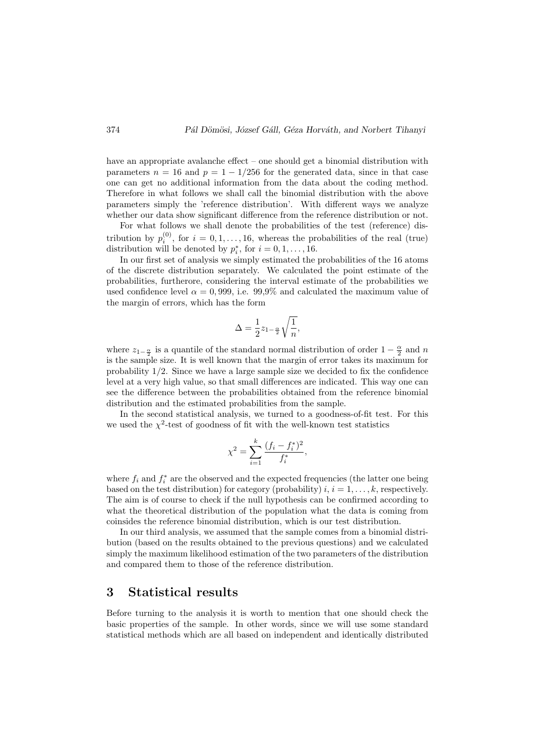have an appropriate avalanche effect – one should get a binomial distribution with parameters  $n = 16$  and  $p = 1 - 1/256$  for the generated data, since in that case one can get no additional information from the data about the coding method. Therefore in what follows we shall call the binomial distribution with the above parameters simply the 'reference distribution'. With different ways we analyze whether our data show significant difference from the reference distribution or not.

For what follows we shall denote the probabilities of the test (reference) distribution by  $p_i^{(0)}$ , for  $i = 0, 1, ..., 16$ , whereas the probabilities of the real (true) distribution will be denoted by  $p_i^*$ , for  $i = 0, 1, ..., 16$ .

In our first set of analysis we simply estimated the probabilities of the 16 atoms of the discrete distribution separately. We calculated the point estimate of the probabilities, furtherore, considering the interval estimate of the probabilities we used confidence level  $\alpha = 0.999$ , i.e. 99.9% and calculated the maximum value of the margin of errors, which has the form

$$
\Delta = \frac{1}{2} z_{1-\frac{\alpha}{2}} \sqrt{\frac{1}{n}},
$$

where  $z_{1-\frac{\alpha}{2}}$  is a quantile of the standard normal distribution of order  $1-\frac{\alpha}{2}$  and n is the sample size. It is well known that the margin of error takes its maximum for probability 1/2. Since we have a large sample size we decided to fix the confidence level at a very high value, so that small differences are indicated. This way one can see the difference between the probabilities obtained from the reference binomial distribution and the estimated probabilities from the sample.

In the second statistical analysis, we turned to a goodness-of-fit test. For this we used the  $\chi^2$ -test of goodness of fit with the well-known test statistics

$$
\chi^2 = \sum_{i=1}^k \frac{(f_i - f_i^*)^2}{f_i^*},
$$

where  $f_i$  and  $f_i^*$  are the observed and the expected frequencies (the latter one being based on the test distribution) for category (probability)  $i, i = 1, \ldots, k$ , respectively. The aim is of course to check if the null hypothesis can be confirmed according to what the theoretical distribution of the population what the data is coming from coinsides the reference binomial distribution, which is our test distribution.

In our third analysis, we assumed that the sample comes from a binomial distribution (based on the results obtained to the previous questions) and we calculated simply the maximum likelihood estimation of the two parameters of the distribution and compared them to those of the reference distribution.

### 3 Statistical results

Before turning to the analysis it is worth to mention that one should check the basic properties of the sample. In other words, since we will use some standard statistical methods which are all based on independent and identically distributed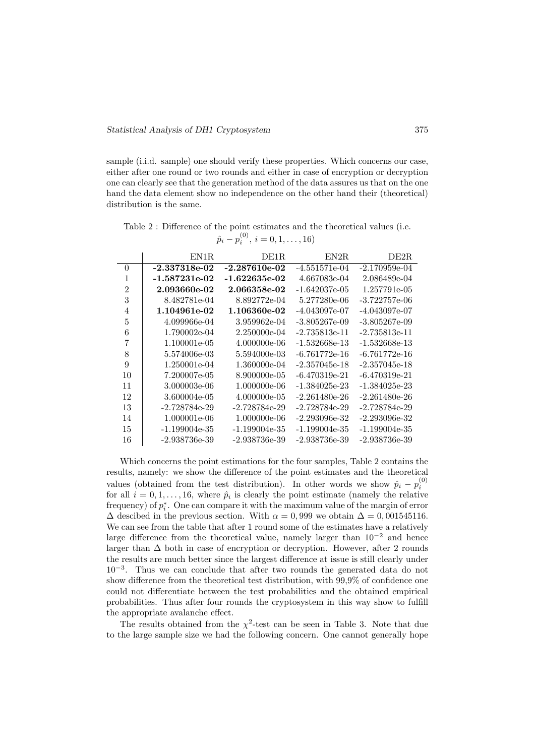sample (i.i.d. sample) one should verify these properties. Which concerns our case, either after one round or two rounds and either in case of encryption or decryption one can clearly see that the generation method of the data assures us that on the one hand the data element show no independence on the other hand their (theoretical) distribution is the same.

Table 2 : Difference of the point estimates and the theoretical values (i.e.  $\hat{p}_i - p_i^{(0)}, i = 0, 1, \dots, 16$ 

|                | EN1R.               | DE1R.           | EN2R                | DE2R.                |
|----------------|---------------------|-----------------|---------------------|----------------------|
| $\theta$       | $-2.337318e-02$     | $-2.287610e-02$ | $-4.551571e-04$     | $-2.170959e-04$      |
| 1              | $-1.587231e-02$     | -1.622635e-02   | 4.667083e-04        | 2.086489e-04         |
| $\overline{2}$ | 2.093660e-02        | 2.066358e-02    | $-1.642037e-05$     | 1.257791e-05         |
| 3              | 8.482781e-04        | 8.892772e-04    | 5.277280e-06        | $-3.722757$ e $-06$  |
| 4              | 1.104961e-02        | 1.106360e-02    | $-4.043097e-07$     | -4.043097e-07        |
| 5              | 4.099966e-04        | 3.959962e-04    | $-3.805267e-0.9$    | $-3.805267$ e $-0.9$ |
| 6              | 1.790002e-04        | 2.250000e-04    | $-2.735813$ e $-11$ | $-2.735813$ e $-11$  |
| 7              | 1.100001e-05        | 4.000000e-06    | -1.532668e-13       | -1.532668e-13        |
| 8              | 5.574006e-03        | 5.594000e-03    | $-6.761772e-16$     | $-6.761772e-16$      |
| 9              | 1.250001e-04        | 1.360000e-04    | $-2.357045e-18$     | $-2.357045e-18$      |
| 10             | 7.200007e-05        | 8.900000e-05    | $-6.470319e-21$     | $-6.470319e-21$      |
| 11             | 3.000003e-06        | 1.000000e-06    | $-1.384025$ e $-23$ | $-1.384025$ e $-23$  |
| 12             | 3.600004e-05        | 4.000000e-05    | $-2.261480e-26$     | $-2.261480e-26$      |
| 13             | $-2.728784e-29$     | -2.728784e-29   | $-2.728784e-29$     | -2.728784e-29        |
| 14             | 1.000001e-06        | 1.000000e-06    | $-2.293096$ e $-32$ | $-2.293096$ e $-32$  |
| 15             | $-1.199004$ e $-35$ | -1.199004e-35   | $-1.199004$ e $-35$ | -1.199004e-35        |
| 16             | -2.938736e-39       | -2.938736e-39   | $-2.938736$ e $-39$ | -2.938736e-39        |

Which concerns the point estimations for the four samples, Table 2 contains the results, namely: we show the difference of the point estimates and the theoretical values (obtained from the test distribution). In other words we show  $\hat{p}_i - p_i^{(0)}$ for all  $i = 0, 1, ..., 16$ , where  $\hat{p}_i$  is clearly the point estimate (namely the relative frequency) of  $p_i^*$ . One can compare it with the maximum value of the margin of error  $\Delta$  descibed in the previous section. With  $\alpha = 0,999$  we obtain  $\Delta = 0,001545116$ . We can see from the table that after 1 round some of the estimates have a relatively large difference from the theoretical value, namely larger than  $10^{-2}$  and hence larger than  $\Delta$  both in case of encryption or decryption. However, after 2 rounds the results are much better since the largest difference at issue is still clearly under 10<sup>−</sup><sup>3</sup> . Thus we can conclude that after two rounds the generated data do not show difference from the theoretical test distribution, with 99,9% of confidence one could not differentiate between the test probabilities and the obtained empirical probabilities. Thus after four rounds the cryptosystem in this way show to fulfill the appropriate avalanche effect.

The results obtained from the  $\chi^2$ -test can be seen in Table 3. Note that due to the large sample size we had the following concern. One cannot generally hope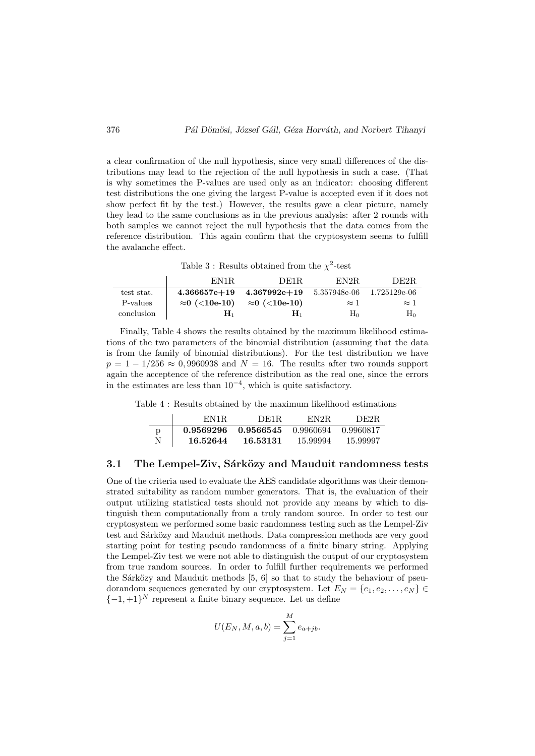a clear confirmation of the null hypothesis, since very small differences of the distributions may lead to the rejection of the null hypothesis in such a case. (That is why sometimes the P-values are used only as an indicator: choosing different test distributions the one giving the largest P-value is accepted even if it does not show perfect fit by the test.) However, the results gave a clear picture, namely they lead to the same conclusions as in the previous analysis: after 2 rounds with both samples we cannot reject the null hypothesis that the data comes from the reference distribution. This again confirm that the cryptosystem seems to fulfill the avalanche effect.

Table 3: Results obtained from the  $\chi^2$ -test

|            | EN1R.                 | DE1R.                 | EN2R.        | DE2R.        |
|------------|-----------------------|-----------------------|--------------|--------------|
| test stat. | $4.366657e+19$        | $4.367992e+19$        | 5.357948e-06 | 1.725129e-06 |
| P-values   | $\approx 0$ (<10e-10) | $\approx$ 0 (<10e-10) | $\approx$ 1  | $\approx$ 1  |
| conclusion | $\mathbf{H}_1$        | H۱                    | $H_0$        | $H_0$        |

Finally, Table 4 shows the results obtained by the maximum likelihood estimations of the two parameters of the binomial distribution (assuming that the data is from the family of binomial distributions). For the test distribution we have  $p = 1 - 1/256 \approx 0,9960938$  and  $N = 16$ . The results after two rounds support again the acceptence of the reference distribution as the real one, since the errors in the estimates are less than  $10^{-4}$ , which is quite satisfactory.

Table 4 : Results obtained by the maximum likelihood estimations

|   | EN1R.     | DE1R.     | EN2R      | DE2R        |
|---|-----------|-----------|-----------|-------------|
| D | 0.9569296 | 0.9566545 | 0.9960694 | - 0.9960817 |
| N | 16.52644  | 16.53131  | 15.99994  | 15.99997    |

#### 3.1 The Lempel-Ziv, Sárközy and Mauduit randomness tests

One of the criteria used to evaluate the AES candidate algorithms was their demonstrated suitability as random number generators. That is, the evaluation of their output utilizing statistical tests should not provide any means by which to distinguish them computationally from a truly random source. In order to test our cryptosystem we performed some basic randomness testing such as the Lempel-Ziv test and Sárközy and Mauduit methods. Data compression methods are very good starting point for testing pseudo randomness of a finite binary string. Applying the Lempel-Ziv test we were not able to distinguish the output of our cryptosystem from true random sources. In order to fulfill further requirements we performed the Sárközy and Mauduit methods  $[5, 6]$  so that to study the behaviour of pseudorandom sequences generated by our cryptosystem. Let  $E_N = \{e_1, e_2, \ldots, e_N\}$  $\{-1,+1\}^N$  represent a finite binary sequence. Let us define

$$
U(E_N, M, a, b) = \sum_{j=1}^{M} e_{a+jb}.
$$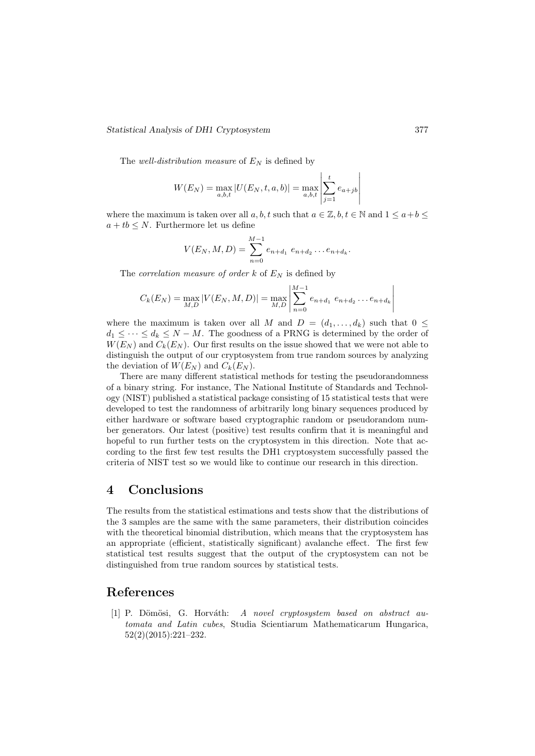#### Statistical Analysis of DH1 Cryptosystem 377

The well-distribution measure of  $E_N$  is defined by

$$
W(E_N) = \max_{a,b,t} |U(E_N, t, a, b)| = \max_{a,b,t} \left| \sum_{j=1}^t e_{a+jb} \right|
$$

where the maximum is taken over all a, b, t such that  $a \in \mathbb{Z}$ ,  $b, t \in \mathbb{N}$  and  $1 \leq a + b \leq t$  $a + tb \leq N$ . Furthermore let us define

$$
V(E_N, M, D) = \sum_{n=0}^{M-1} e_{n+d_1} e_{n+d_2} \dots e_{n+d_k}.
$$

The *correlation measure of order k* of  $E<sub>N</sub>$  is defined by

$$
C_k(E_N) = \max_{M,D} |V(E_N, M, D)| = \max_{M,D} \left| \sum_{n=0}^{M-1} e_{n+d_1} \, e_{n+d_2} \dots e_{n+d_k} \right|
$$

where the maximum is taken over all M and  $D = (d_1, \ldots, d_k)$  such that  $0 \leq$  $d_1 \leq \cdots \leq d_k \leq N - M$ . The goodness of a PRNG is determined by the order of  $W(E_N)$  and  $C_k(E_N)$ . Our first results on the issue showed that we were not able to distinguish the output of our cryptosystem from true random sources by analyzing the deviation of  $W(E_N)$  and  $C_k(E_N)$ .

There are many different statistical methods for testing the pseudorandomness of a binary string. For instance, The National Institute of Standards and Technology (NIST) published a statistical package consisting of 15 statistical tests that were developed to test the randomness of arbitrarily long binary sequences produced by either hardware or software based cryptographic random or pseudorandom number generators. Our latest (positive) test results confirm that it is meaningful and hopeful to run further tests on the cryptosystem in this direction. Note that according to the first few test results the DH1 cryptosystem successfully passed the criteria of NIST test so we would like to continue our research in this direction.

# 4 Conclusions

The results from the statistical estimations and tests show that the distributions of the 3 samples are the same with the same parameters, their distribution coincides with the theoretical binomial distribution, which means that the cryptosystem has an appropriate (efficient, statistically significant) avalanche effect. The first few statistical test results suggest that the output of the cryptosystem can not be distinguished from true random sources by statistical tests.

### References

[1] P. Dömösi, G. Horváth: A novel cryptosystem based on abstract automata and Latin cubes, Studia Scientiarum Mathematicarum Hungarica, 52(2)(2015):221–232.